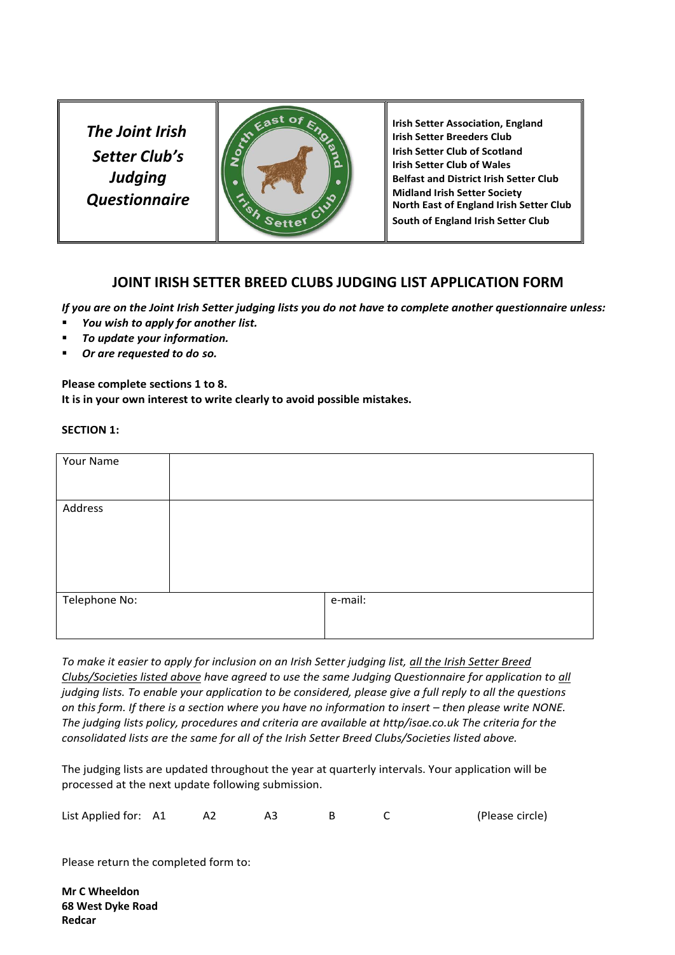*Setter Club's Judging Questionnaire*



**Irish Setter Club of Scotland Irish Setter Club of Wales Belfast and District Irish Setter Club Midland Irish Setter Society North East of England Irish Setter Club South of England Irish Setter Club**

# **JOINT IRISH SETTER BREED CLUBS JUDGING LIST APPLICATION FORM**

*If you are on the Joint Irish Setter judging lists you do not have to complete another questionnaire unless:*

- *You wish to apply for another list.*
- *To update your information.*
- *Or are requested to do so.*

**Please complete sections 1 to 8. It is in your own interest to write clearly to avoid possible mistakes.** 

#### **SECTION 1:**

| Your Name     |         |
|---------------|---------|
| Address       |         |
| Telephone No: | e-mail: |

*To make it easier to apply for inclusion on an Irish Setter judging list, all the Irish Setter Breed Clubs/Societies listed above have agreed to use the same Judging Questionnaire for application to all judging lists. To enable your application to be considered, please give a full reply to all the questions on this form. If there is a section where you have no information to insert – then please write NONE. The judging lists policy, procedures and criteria are available at http/isae.co.uk The criteria for the consolidated lists are the same for all of the Irish Setter Breed Clubs/Societies listed above.*

The judging lists are updated throughout the year at quarterly intervals. Your application will be processed at the next update following submission.

| List Applied for: A1 |  |  |  |  |  | (Please circle) |
|----------------------|--|--|--|--|--|-----------------|
|----------------------|--|--|--|--|--|-----------------|

Please return the completed form to:

**Mr C Wheeldon 68 West Dyke Road Redcar**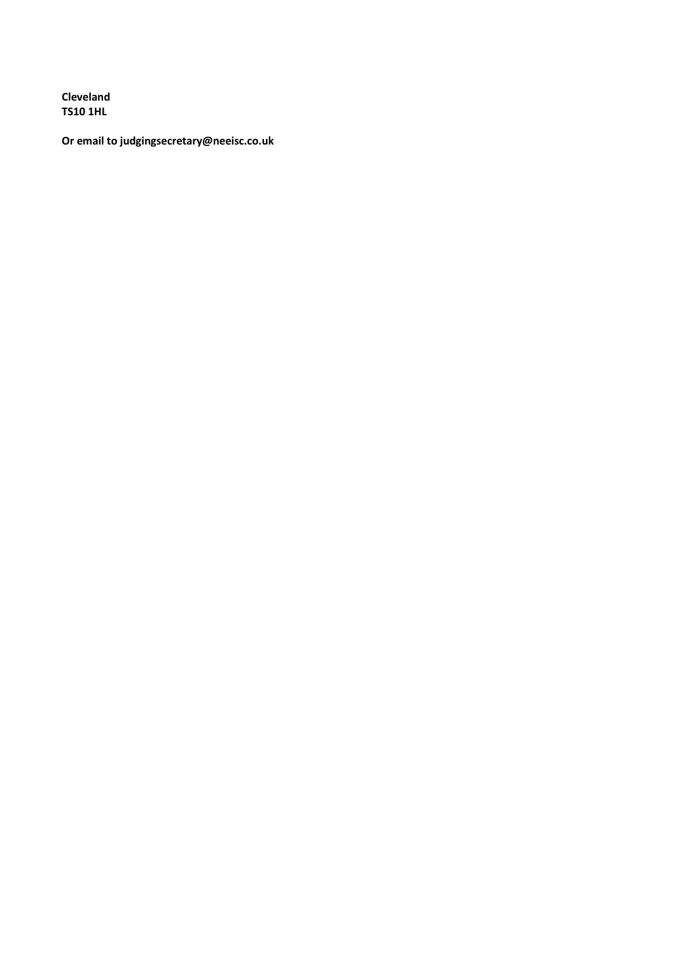Cleveland **TS10 1HL** 

Or email to judgingsecretary@neeisc.co.uk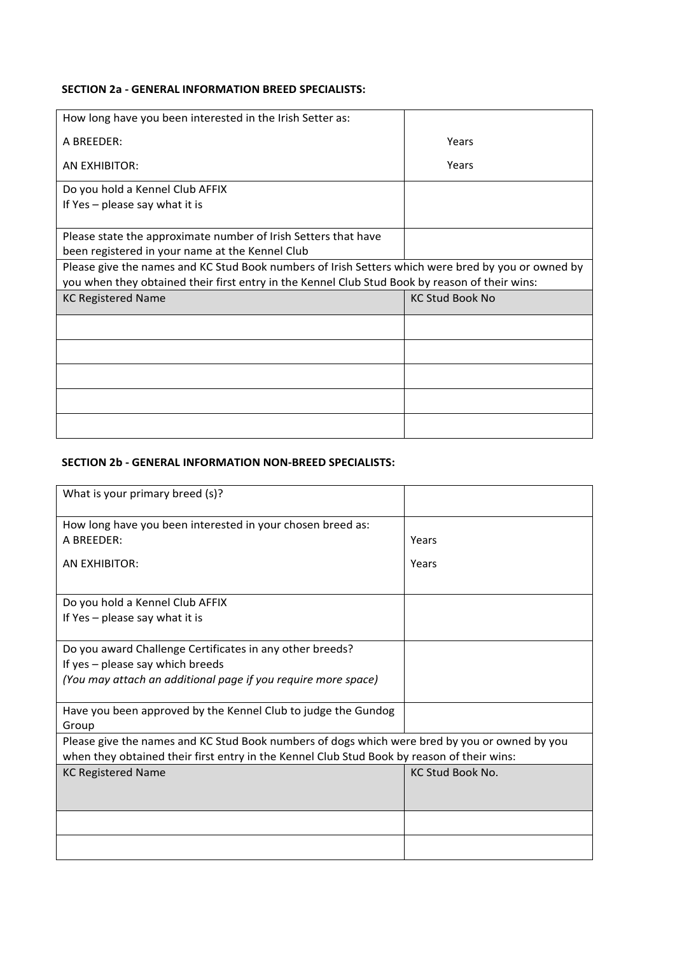## **SECTION 2a - GENERAL INFORMATION BREED SPECIALISTS:**

| How long have you been interested in the Irish Setter as:                                          |                        |
|----------------------------------------------------------------------------------------------------|------------------------|
| A BREEDER:                                                                                         | Years                  |
| AN EXHIBITOR:                                                                                      | Years                  |
| Do you hold a Kennel Club AFFIX                                                                    |                        |
| If $Yes$ – please say what it is                                                                   |                        |
|                                                                                                    |                        |
| Please state the approximate number of Irish Setters that have                                     |                        |
| been registered in your name at the Kennel Club                                                    |                        |
| Please give the names and KC Stud Book numbers of Irish Setters which were bred by you or owned by |                        |
|                                                                                                    |                        |
| you when they obtained their first entry in the Kennel Club Stud Book by reason of their wins:     |                        |
| <b>KC Registered Name</b>                                                                          | <b>KC Stud Book No</b> |
|                                                                                                    |                        |
|                                                                                                    |                        |
|                                                                                                    |                        |
|                                                                                                    |                        |

### **SECTION 2b - GENERAL INFORMATION NON-BREED SPECIALISTS:**

| What is your primary breed (s)?                                                                                                                                                             |                         |  |  |  |
|---------------------------------------------------------------------------------------------------------------------------------------------------------------------------------------------|-------------------------|--|--|--|
| How long have you been interested in your chosen breed as:                                                                                                                                  |                         |  |  |  |
| A BREEDER:                                                                                                                                                                                  | Years                   |  |  |  |
| <b>AN EXHIBITOR:</b>                                                                                                                                                                        | Years                   |  |  |  |
| Do you hold a Kennel Club AFFIX                                                                                                                                                             |                         |  |  |  |
| If $Yes$ – please say what it is                                                                                                                                                            |                         |  |  |  |
| Do you award Challenge Certificates in any other breeds?<br>If yes - please say which breeds                                                                                                |                         |  |  |  |
| (You may attach an additional page if you require more space)                                                                                                                               |                         |  |  |  |
| Have you been approved by the Kennel Club to judge the Gundog<br>Group                                                                                                                      |                         |  |  |  |
| Please give the names and KC Stud Book numbers of dogs which were bred by you or owned by you<br>when they obtained their first entry in the Kennel Club Stud Book by reason of their wins: |                         |  |  |  |
| <b>KC Registered Name</b>                                                                                                                                                                   | <b>KC Stud Book No.</b> |  |  |  |
|                                                                                                                                                                                             |                         |  |  |  |
|                                                                                                                                                                                             |                         |  |  |  |
|                                                                                                                                                                                             |                         |  |  |  |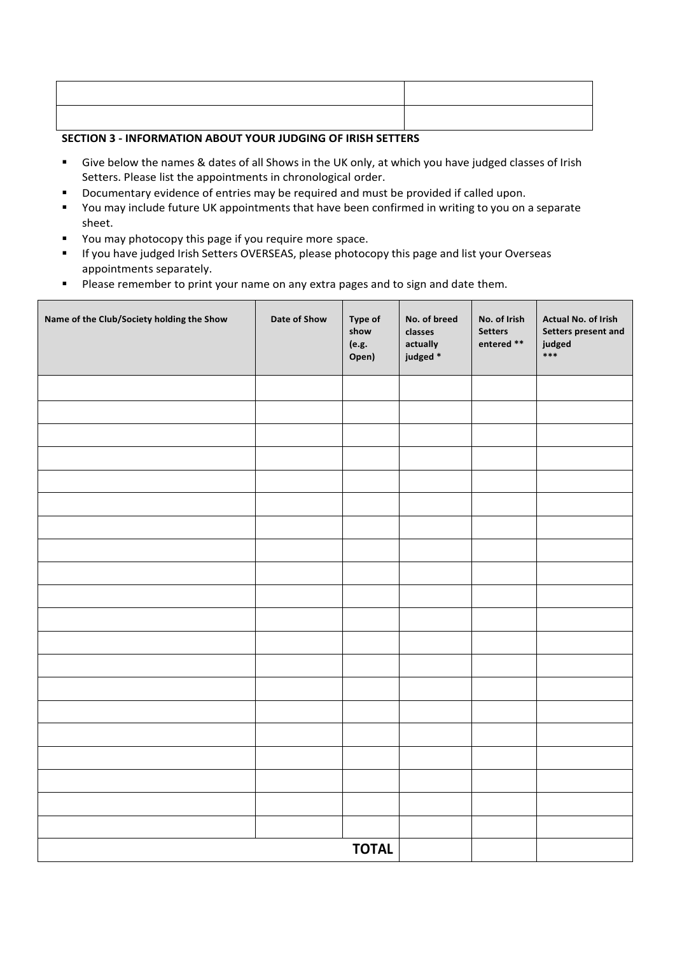# **SECTION 3 - INFORMATION ABOUT YOUR JUDGING OF IRISH SETTERS**

- Give below the names & dates of all Shows in the UK only, at which you have judged classes of Irish Setters. Please list the appointments in chronological order.
- Documentary evidence of entries may be required and must be provided if called upon.
- You may include future UK appointments that have been confirmed in writing to you on a separate sheet.
- You may photocopy this page if you require more space.
- If you have judged Irish Setters OVERSEAS, please photocopy this page and list your Overseas appointments separately.
- Please remember to print your name on any extra pages and to sign and date them.

| Name of the Club/Society holding the Show | Date of Show | Type of<br>show<br>(e.g.<br>Open) | No. of breed<br>classes<br>actually<br>judged * | No. of Irish<br><b>Setters</b><br>entered ** | Actual No. of Irish<br>Setters present and<br>judged<br>$***$ |
|-------------------------------------------|--------------|-----------------------------------|-------------------------------------------------|----------------------------------------------|---------------------------------------------------------------|
|                                           |              |                                   |                                                 |                                              |                                                               |
|                                           |              |                                   |                                                 |                                              |                                                               |
|                                           |              |                                   |                                                 |                                              |                                                               |
|                                           |              |                                   |                                                 |                                              |                                                               |
|                                           |              |                                   |                                                 |                                              |                                                               |
|                                           |              |                                   |                                                 |                                              |                                                               |
|                                           |              |                                   |                                                 |                                              |                                                               |
|                                           |              |                                   |                                                 |                                              |                                                               |
|                                           |              |                                   |                                                 |                                              |                                                               |
|                                           |              |                                   |                                                 |                                              |                                                               |
|                                           |              |                                   |                                                 |                                              |                                                               |
|                                           |              |                                   |                                                 |                                              |                                                               |
|                                           |              |                                   |                                                 |                                              |                                                               |
|                                           |              |                                   |                                                 |                                              |                                                               |
|                                           |              |                                   |                                                 |                                              |                                                               |
|                                           |              |                                   |                                                 |                                              |                                                               |
|                                           |              |                                   |                                                 |                                              |                                                               |
|                                           |              |                                   |                                                 |                                              |                                                               |
|                                           |              |                                   |                                                 |                                              |                                                               |
|                                           |              |                                   |                                                 |                                              |                                                               |
|                                           |              | <b>TOTAL</b>                      |                                                 |                                              |                                                               |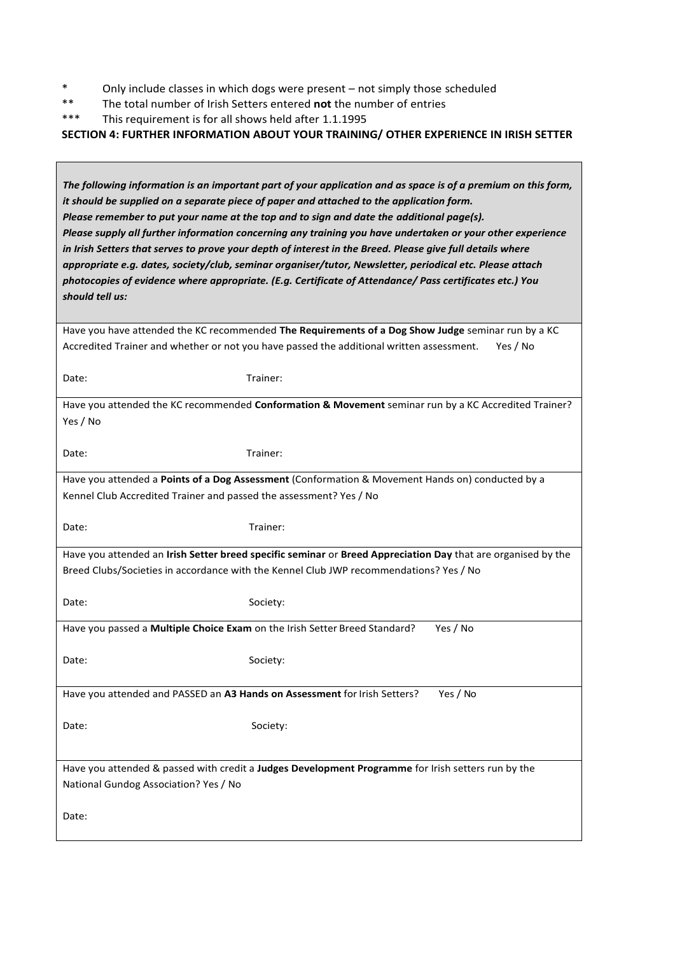- \* Only include classes in which dogs were present not simply those scheduled<br>\*\* The total number of Irish Setters entered **not** the number of entries
- \*\* The total number of Irish Setters entered **not** the number of entries<br>\*\*\* This requirement is for all shows held after 1 1 1995
- This requirement is for all shows held after 1.1.1995

### **SECTION 4: FURTHER INFORMATION ABOUT YOUR TRAINING/ OTHER EXPERIENCE IN IRISH SETTER**

| The following information is an important part of your application and as space is of a premium on this form,<br>it should be supplied on a separate piece of paper and attached to the application form.<br>Please remember to put your name at the top and to sign and date the additional page(s).<br>Please supply all further information concerning any training you have undertaken or your other experience<br>in Irish Setters that serves to prove your depth of interest in the Breed. Please give full details where<br>appropriate e.g. dates, society/club, seminar organiser/tutor, Newsletter, periodical etc. Please attach<br>photocopies of evidence where appropriate. (E.g. Certificate of Attendance/ Pass certificates etc.) You<br>should tell us: |
|----------------------------------------------------------------------------------------------------------------------------------------------------------------------------------------------------------------------------------------------------------------------------------------------------------------------------------------------------------------------------------------------------------------------------------------------------------------------------------------------------------------------------------------------------------------------------------------------------------------------------------------------------------------------------------------------------------------------------------------------------------------------------|
| Have you have attended the KC recommended The Requirements of a Dog Show Judge seminar run by a KC<br>Accredited Trainer and whether or not you have passed the additional written assessment.<br>Yes / No                                                                                                                                                                                                                                                                                                                                                                                                                                                                                                                                                                 |

Date: Trainer:

| Have you attended the KC recommended <b>Conformation &amp; Movement</b> seminar run by a KC Accredited Trainer? |  |
|-----------------------------------------------------------------------------------------------------------------|--|
| Yes / No                                                                                                        |  |

Date: Trainer:

Have you attended a **Points of a Dog Assessment** (Conformation & Movement Hands on) conducted by a Kennel Club Accredited Trainer and passed the assessment? Yes / No

Date: Trainer:

Have you attended an **Irish Setter breed specific seminar** or **Breed Appreciation Day** that are organised by the Breed Clubs/Societies in accordance with the Kennel Club JWP recommendations? Yes / No

Date: Society:

Have you passed a **Multiple Choice Exam** on the Irish Setter Breed Standard? Yes / No

Date: Society:

Have you attended and PASSED an A3 Hands on Assessment for Irish Setters? Yes / No

Date: Society:

Have you attended & passed with credit a **Judges Development Programme** for Irish setters run by the National Gundog Association? Yes / No

Date: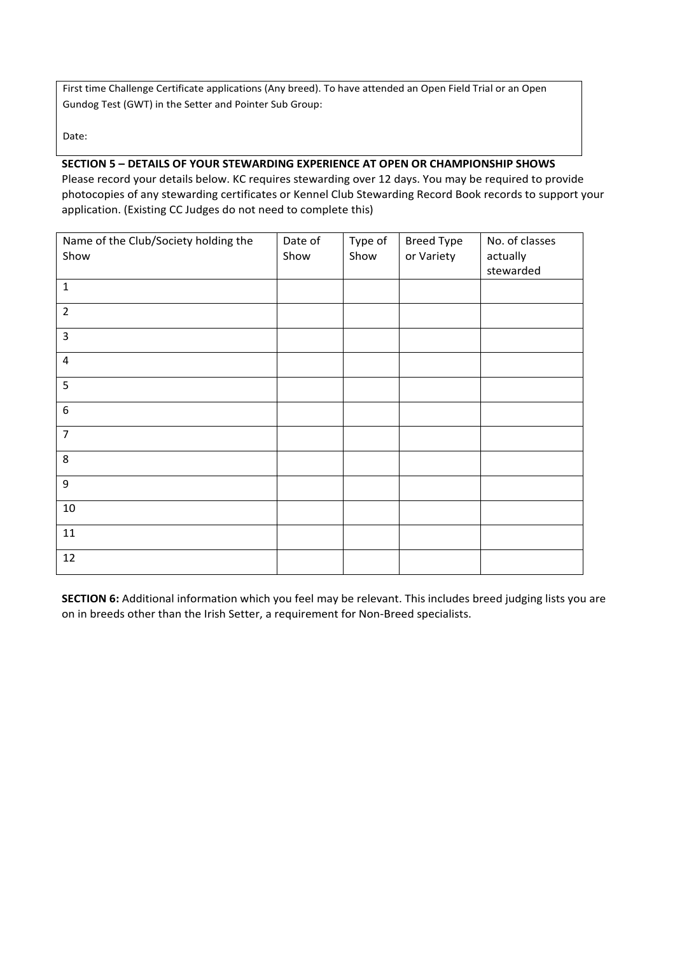First time Challenge Certificate applications (Any breed). To have attended an Open Field Trial or an Open Gundog Test (GWT) in the Setter and Pointer Sub Group:

Date:

# **SECTION 5 – DETAILS OF YOUR STEWARDING EXPERIENCE AT OPEN OR CHAMPIONSHIP SHOWS**

Please record your details below. KC requires stewarding over 12 days. You may be required to provide photocopies of any stewarding certificates or Kennel Club Stewarding Record Book records to support your application. (Existing CC Judges do not need to complete this)

| Name of the Club/Society holding the | Date of | Type of | <b>Breed Type</b> | No. of classes |
|--------------------------------------|---------|---------|-------------------|----------------|
| Show                                 | Show    | Show    | or Variety        | actually       |
|                                      |         |         |                   | stewarded      |
| $\mathbf 1$                          |         |         |                   |                |
| $\overline{2}$                       |         |         |                   |                |
| $\overline{\mathbf{3}}$              |         |         |                   |                |
| $\overline{\mathbf{4}}$              |         |         |                   |                |
| 5                                    |         |         |                   |                |
| $\boldsymbol{6}$                     |         |         |                   |                |
| $\overline{7}$                       |         |         |                   |                |
| 8                                    |         |         |                   |                |
| 9                                    |         |         |                   |                |
| $10\,$                               |         |         |                   |                |
| $11\,$                               |         |         |                   |                |
| $12\,$                               |         |         |                   |                |

**SECTION 6:** Additional information which you feel may be relevant. This includes breed judging lists you are on in breeds other than the Irish Setter, a requirement for Non-Breed specialists.